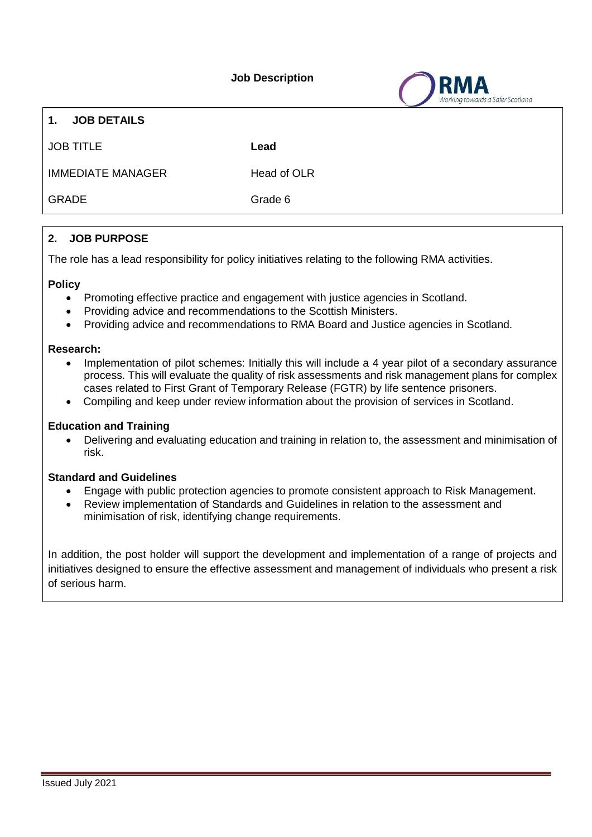**Job Description**

towards a Safer Scotland



JOB TITLE **Lead**

IMMEDIATE MANAGER Head of OLR

GRADE Grade 6

# **2. JOB PURPOSE**

The role has a lead responsibility for policy initiatives relating to the following RMA activities.

## **Policy**

- Promoting effective practice and engagement with justice agencies in Scotland.
- Providing advice and recommendations to the Scottish Ministers.
- Providing advice and recommendations to RMA Board and Justice agencies in Scotland.

#### **Research:**

- Implementation of pilot schemes: Initially this will include a 4 year pilot of a secondary assurance process. This will evaluate the quality of risk assessments and risk management plans for complex cases related to First Grant of Temporary Release (FGTR) by life sentence prisoners.
- Compiling and keep under review information about the provision of services in Scotland.

## **Education and Training**

 Delivering and evaluating education and training in relation to, the assessment and minimisation of risk.

## **Standard and Guidelines**

- Engage with public protection agencies to promote consistent approach to Risk Management.
- Review implementation of Standards and Guidelines in relation to the assessment and minimisation of risk, identifying change requirements.

In addition, the post holder will support the development and implementation of a range of projects and initiatives designed to ensure the effective assessment and management of individuals who present a risk of serious harm.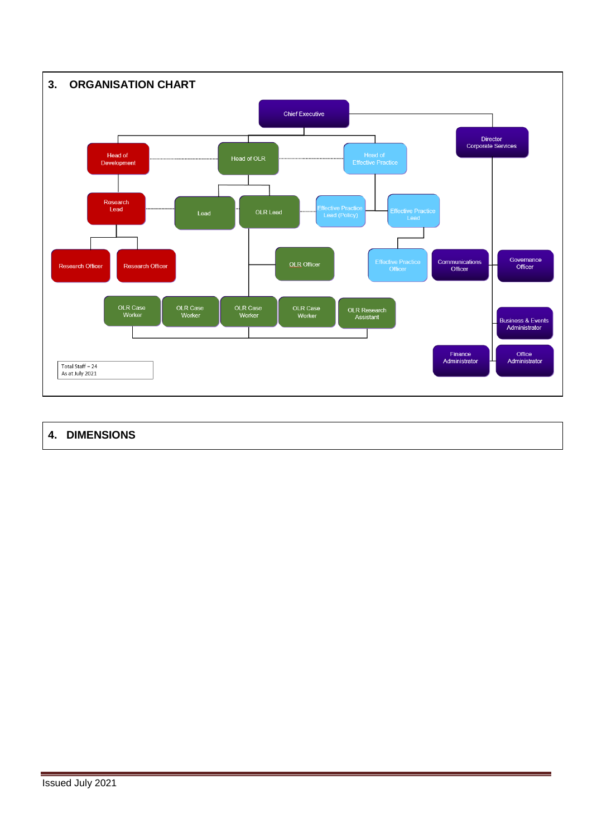

# **4. DIMENSIONS**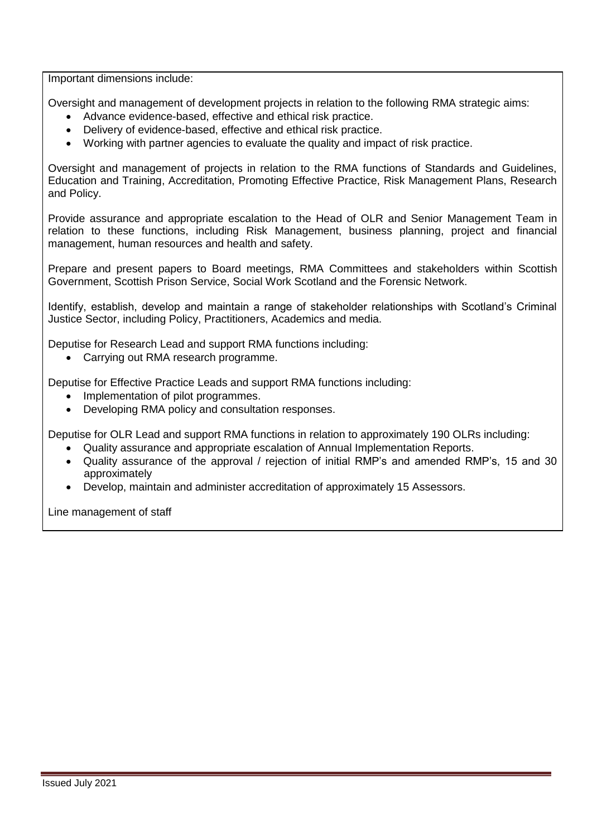Important dimensions include:

Oversight and management of development projects in relation to the following RMA strategic aims:

- Advance evidence-based, effective and ethical risk practice.
- Delivery of evidence-based, effective and ethical risk practice.
- Working with partner agencies to evaluate the quality and impact of risk practice.

Oversight and management of projects in relation to the RMA functions of Standards and Guidelines, Education and Training, Accreditation, Promoting Effective Practice, Risk Management Plans, Research and Policy.

Provide assurance and appropriate escalation to the Head of OLR and Senior Management Team in relation to these functions, including Risk Management, business planning, project and financial management, human resources and health and safety.

Prepare and present papers to Board meetings, RMA Committees and stakeholders within Scottish Government, Scottish Prison Service, Social Work Scotland and the Forensic Network.

Identify, establish, develop and maintain a range of stakeholder relationships with Scotland's Criminal Justice Sector, including Policy, Practitioners, Academics and media.

Deputise for Research Lead and support RMA functions including:

• Carrying out RMA research programme.

Deputise for Effective Practice Leads and support RMA functions including:

- Implementation of pilot programmes.
- Developing RMA policy and consultation responses.

Deputise for OLR Lead and support RMA functions in relation to approximately 190 OLRs including:

- Quality assurance and appropriate escalation of Annual Implementation Reports.
- Quality assurance of the approval / rejection of initial RMP's and amended RMP's, 15 and 30 approximately
- Develop, maintain and administer accreditation of approximately 15 Assessors.

Line management of staff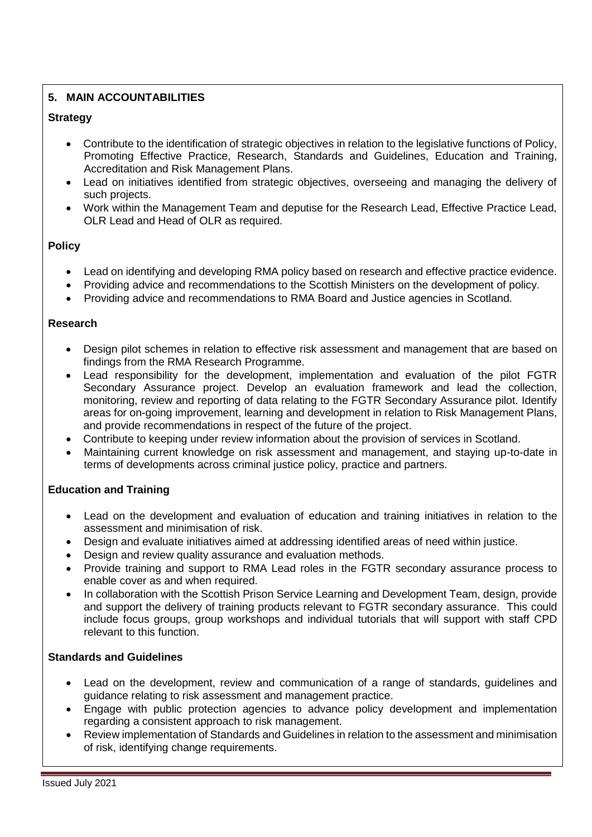# **5. MAIN ACCOUNTABILITIES**

# **Strategy**

- Contribute to the identification of strategic objectives in relation to the legislative functions of Policy, Promoting Effective Practice, Research, Standards and Guidelines, Education and Training, Accreditation and Risk Management Plans.
- Lead on initiatives identified from strategic objectives, overseeing and managing the delivery of such projects.
- Work within the Management Team and deputise for the Research Lead, Effective Practice Lead, OLR Lead and Head of OLR as required.

## **Policy**

- Lead on identifying and developing RMA policy based on research and effective practice evidence.
- Providing advice and recommendations to the Scottish Ministers on the development of policy.
- Providing advice and recommendations to RMA Board and Justice agencies in Scotland.

## **Research**

- Design pilot schemes in relation to effective risk assessment and management that are based on findings from the RMA Research Programme.
- Lead responsibility for the development, implementation and evaluation of the pilot FGTR Secondary Assurance project. Develop an evaluation framework and lead the collection, monitoring, review and reporting of data relating to the FGTR Secondary Assurance pilot. Identify areas for on-going improvement, learning and development in relation to Risk Management Plans, and provide recommendations in respect of the future of the project.
- Contribute to keeping under review information about the provision of services in Scotland.
- Maintaining current knowledge on risk assessment and management, and staying up-to-date in terms of developments across criminal justice policy, practice and partners.

## **Education and Training**

- Lead on the development and evaluation of education and training initiatives in relation to the assessment and minimisation of risk.
- Design and evaluate initiatives aimed at addressing identified areas of need within justice.
- Design and review quality assurance and evaluation methods.
- Provide training and support to RMA Lead roles in the FGTR secondary assurance process to enable cover as and when required.
- In collaboration with the Scottish Prison Service Learning and Development Team, design, provide and support the delivery of training products relevant to FGTR secondary assurance. This could include focus groups, group workshops and individual tutorials that will support with staff CPD relevant to this function.

## **Standards and Guidelines**

- Lead on the development, review and communication of a range of standards, guidelines and guidance relating to risk assessment and management practice.
- Engage with public protection agencies to advance policy development and implementation regarding a consistent approach to risk management.
- Review implementation of Standards and Guidelines in relation to the assessment and minimisation of risk, identifying change requirements.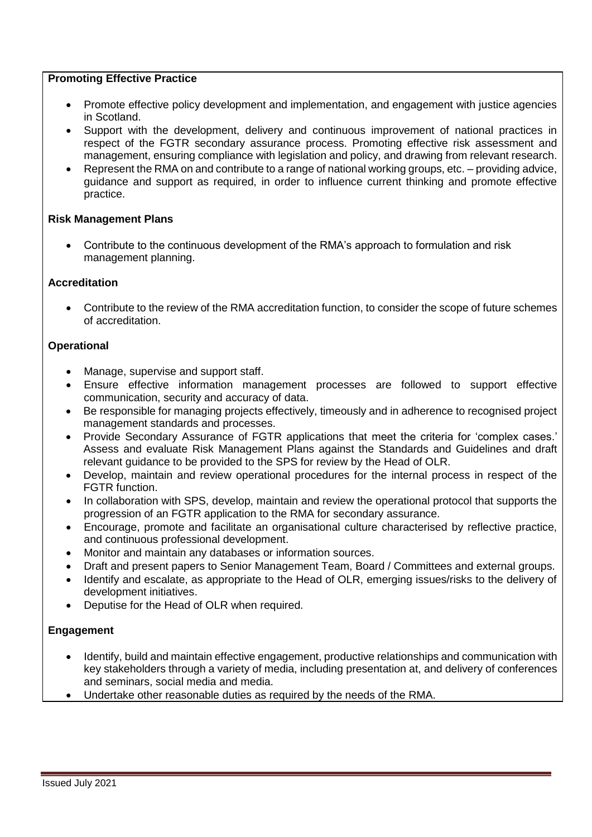#### **Promoting Effective Practice**

- Promote effective policy development and implementation, and engagement with justice agencies in Scotland.
- Support with the development, delivery and continuous improvement of national practices in respect of the FGTR secondary assurance process. Promoting effective risk assessment and management, ensuring compliance with legislation and policy, and drawing from relevant research.
- Represent the RMA on and contribute to a range of national working groups, etc. providing advice, guidance and support as required, in order to influence current thinking and promote effective practice.

## **Risk Management Plans**

 Contribute to the continuous development of the RMA's approach to formulation and risk management planning.

#### **Accreditation**

 Contribute to the review of the RMA accreditation function, to consider the scope of future schemes of accreditation.

## **Operational**

- Manage, supervise and support staff.
- Ensure effective information management processes are followed to support effective communication, security and accuracy of data.
- Be responsible for managing projects effectively, timeously and in adherence to recognised project management standards and processes.
- Provide Secondary Assurance of FGTR applications that meet the criteria for 'complex cases.' Assess and evaluate Risk Management Plans against the Standards and Guidelines and draft relevant guidance to be provided to the SPS for review by the Head of OLR.
- Develop, maintain and review operational procedures for the internal process in respect of the FGTR function.
- In collaboration with SPS, develop, maintain and review the operational protocol that supports the progression of an FGTR application to the RMA for secondary assurance.
- Encourage, promote and facilitate an organisational culture characterised by reflective practice, and continuous professional development.
- Monitor and maintain any databases or information sources.
- Draft and present papers to Senior Management Team, Board / Committees and external groups.
- Identify and escalate, as appropriate to the Head of OLR, emerging issues/risks to the delivery of development initiatives.
- Deputise for the Head of OLR when required.

#### **Engagement**

- Identify, build and maintain effective engagement, productive relationships and communication with key stakeholders through a variety of media, including presentation at, and delivery of conferences and seminars, social media and media.
- Undertake other reasonable duties as required by the needs of the RMA.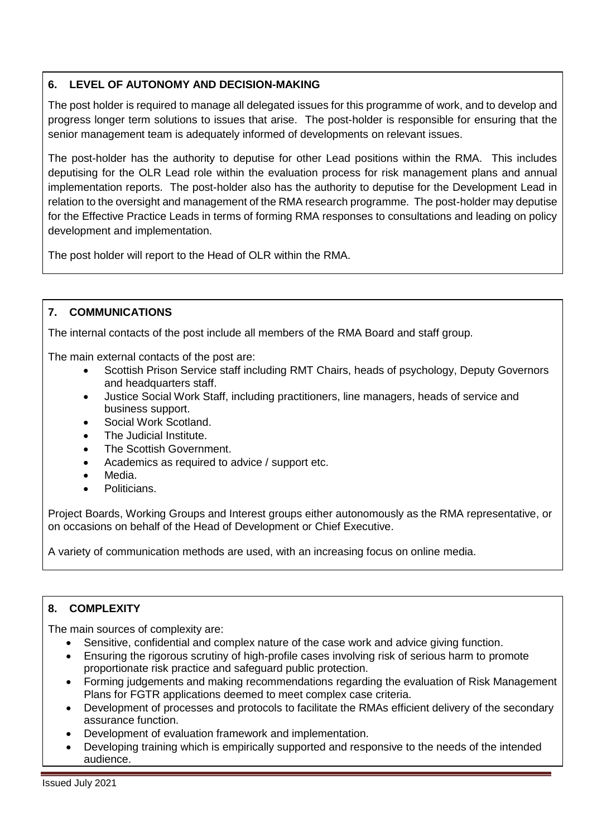# **6. LEVEL OF AUTONOMY AND DECISION-MAKING**

The post holder is required to manage all delegated issues for this programme of work, and to develop and progress longer term solutions to issues that arise. The post-holder is responsible for ensuring that the senior management team is adequately informed of developments on relevant issues.

The post-holder has the authority to deputise for other Lead positions within the RMA. This includes deputising for the OLR Lead role within the evaluation process for risk management plans and annual implementation reports. The post-holder also has the authority to deputise for the Development Lead in relation to the oversight and management of the RMA research programme. The post-holder may deputise for the Effective Practice Leads in terms of forming RMA responses to consultations and leading on policy development and implementation.

The post holder will report to the Head of OLR within the RMA.

# **7. COMMUNICATIONS**

The internal contacts of the post include all members of the RMA Board and staff group.

The main external contacts of the post are:

- Scottish Prison Service staff including RMT Chairs, heads of psychology, Deputy Governors and headquarters staff.
- Justice Social Work Staff, including practitioners, line managers, heads of service and business support.
- Social Work Scotland.
- The Judicial Institute.
- The Scottish Government.
- Academics as required to advice / support etc.
- Media.
- Politicians.

Project Boards, Working Groups and Interest groups either autonomously as the RMA representative, or on occasions on behalf of the Head of Development or Chief Executive.

A variety of communication methods are used, with an increasing focus on online media.

## **8. COMPLEXITY**

The main sources of complexity are:

- Sensitive, confidential and complex nature of the case work and advice giving function.
- Ensuring the rigorous scrutiny of high-profile cases involving risk of serious harm to promote proportionate risk practice and safeguard public protection.
- Forming judgements and making recommendations regarding the evaluation of Risk Management Plans for FGTR applications deemed to meet complex case criteria.
- Development of processes and protocols to facilitate the RMAs efficient delivery of the secondary assurance function.
- Development of evaluation framework and implementation.
- Developing training which is empirically supported and responsive to the needs of the intended audience.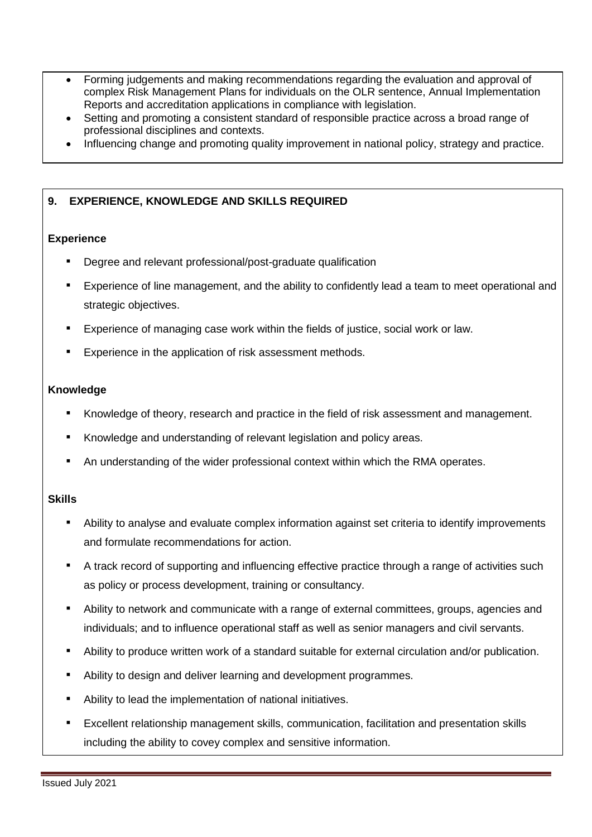- Forming judgements and making recommendations regarding the evaluation and approval of complex Risk Management Plans for individuals on the OLR sentence, Annual Implementation Reports and accreditation applications in compliance with legislation.
- Setting and promoting a consistent standard of responsible practice across a broad range of professional disciplines and contexts.
- Influencing change and promoting quality improvement in national policy, strategy and practice.

# **9. EXPERIENCE, KNOWLEDGE AND SKILLS REQUIRED**

## **Experience**

- Degree and relevant professional/post-graduate qualification
- Experience of line management, and the ability to confidently lead a team to meet operational and strategic objectives.
- Experience of managing case work within the fields of justice, social work or law.
- Experience in the application of risk assessment methods.

#### **Knowledge**

- Knowledge of theory, research and practice in the field of risk assessment and management.
- Knowledge and understanding of relevant legislation and policy areas.
- An understanding of the wider professional context within which the RMA operates.

## **Skills**

- Ability to analyse and evaluate complex information against set criteria to identify improvements and formulate recommendations for action.
- A track record of supporting and influencing effective practice through a range of activities such as policy or process development, training or consultancy.
- Ability to network and communicate with a range of external committees, groups, agencies and individuals; and to influence operational staff as well as senior managers and civil servants.
- Ability to produce written work of a standard suitable for external circulation and/or publication.
- Ability to design and deliver learning and development programmes.
- Ability to lead the implementation of national initiatives.
- Excellent relationship management skills, communication, facilitation and presentation skills including the ability to covey complex and sensitive information.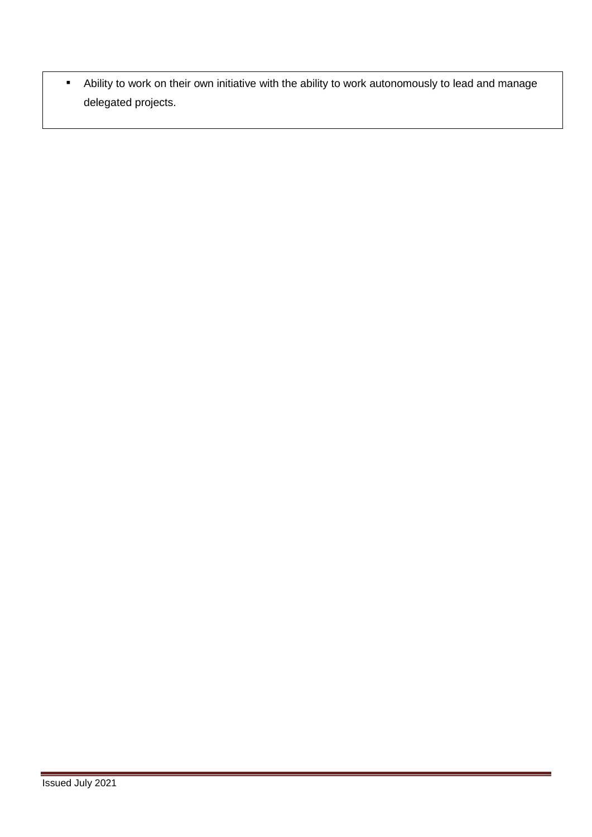■ Ability to work on their own initiative with the ability to work autonomously to lead and manage delegated projects.